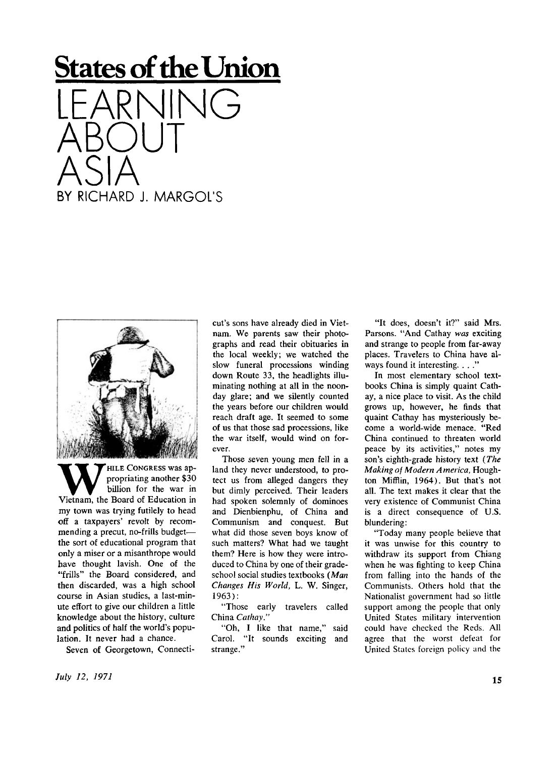## **States of the Union**

LEARNING ABOUT ASIA BY RICHARD J. MARGOL'S



W FILE CONGRESS was appropriating another \$30<br>Vietnam, the Board of Education in HILE CONGRESS was appropriating another \$30 billion for the war in my town was trying futilely to head off a taxpayers' revolt by recommending a precut, no-frills budget the sort of educational program that only a miser or a misanthrope would have thought lavish. One of the "frills" the Board considered, and then discarded, was a high school course in Asian studies, a last-minute effort to give our children a little knowledge about the history, culture and politics of half the world's population. It never had a chance.

Seven of Georgetown, Connecti-

cut's sons have already died in Vietnam. We parents saw their photographs and read their obituaries in the local weekly; we watched the slow funeral processions winding down Route 33, the headlights illuminating nothing at all in the noonday glare; and we silently counted the years before our children would reach draft age. It seemed to some of us that those sad processions, like the war itself, would wind on forever.

Those seven young men fell in a land they never understood, to protect us from alleged dangers they but dimly perceived. Their leaders had spoken solemnly of dominoes and Dienbienphu, of China and Communism and conquest. But what did those seven boys know of such matters? What had we taught them? Here is how they were introduced to China by one of their gradeschool social studies textbooks *(Man Changes His World, L. W. Singer,* 1963) :

"Those early travelers called China *Cathay."* 

"Oh, I like that name," said Carol. "It sounds exciting and strange."

"It does, doesn't it?" said Mrs. Parsons. "And Cathay was exciting and strange to people from far-away places. Travelers to China have always found it interesting. . . ."

In most elementary school textbooks China is simply quaint Cathay, a nice place to visit. As the child grows up, however, he finds that quaint Cathay has mysteriously become a world-wide menace. "Red China continued to threaten world peace by its activities," notes my son's eighth-grade history text *(The Making of Modern America,* Houghton Mifflin, 1964). But that's not all. The text makes it clear that the very existence of Communist China is a direct consequence of U.S. blundering:

"Today many people believe that it was unwise for this country to withdraw its support from Chiang when he was fighting to keep China from falling into the hands of the Communists. Others hold that the Nationalist government had so little support among the people that only United States military intervention could have checked the Reds. All agree that the worst defeat for United States foreign policy and the